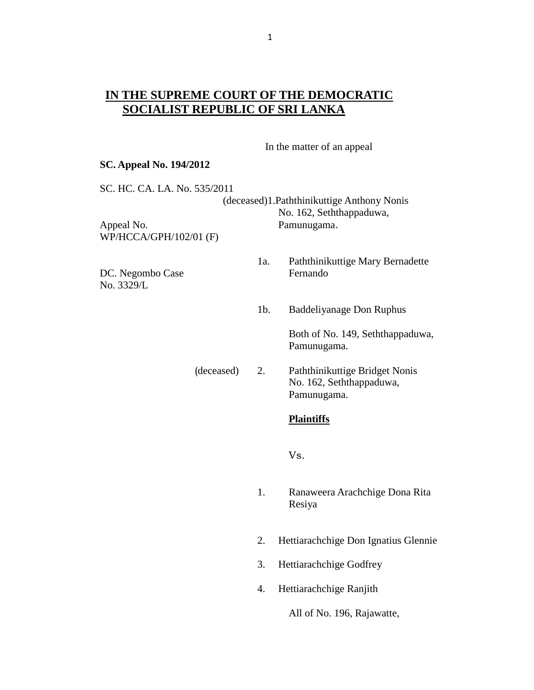## **IN THE SUPREME COURT OF THE DEMOCRATIC SOCIALIST REPUBLIC OF SRI LANKA**

In the matter of an appeal

#### **SC. Appeal No. 194/2012**

SC. HC. CA. LA. No. 535/2011

(deceased)1.Paththinikuttige Anthony Nonis No. 162, Seththappaduwa, Appeal No. 2008 - Pamunugama. WP/HCCA/GPH/102/01 (F)

DC. Negombo Case Fernando No. 3329/L

- 1a. Paththinikuttige Mary Bernadette
- 1b. Baddeliyanage Don Ruphus

Both of No. 149, Seththappaduwa, Pamunugama.

(deceased) 2. Paththinikuttige Bridget Nonis No. 162, Seththappaduwa, Pamunugama.

### **Plaintiffs**

Vs.

- 1. Ranaweera Arachchige Dona Rita Resiya
- 2. Hettiarachchige Don Ignatius Glennie
- 3. Hettiarachchige Godfrey
- 4. Hettiarachchige Ranjith

All of No. 196, Rajawatte,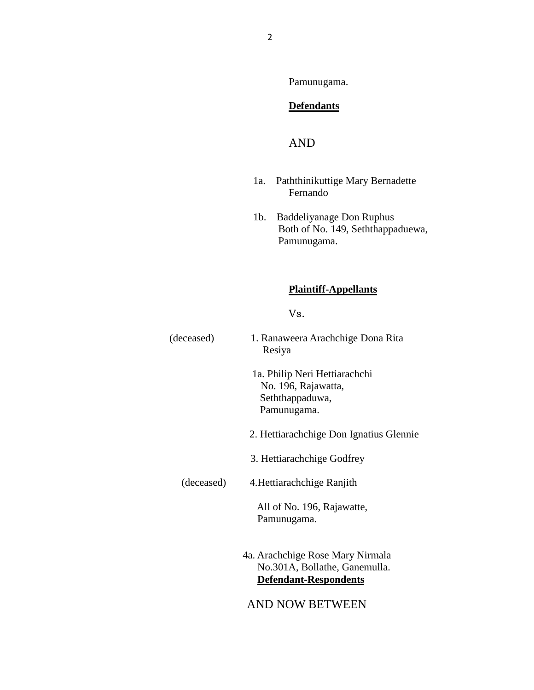Pamunugama.

## **Defendants**

# AND

- 1a. Paththinikuttige Mary Bernadette Fernando
- 1b. Baddeliyanage Don Ruphus Both of No. 149, Seththappaduewa, Pamunugama.

## **Plaintiff-Appellants**

Vs.

| (deceased) | 1. Ranaweera Arachchige Dona Rita<br>Resiya                                                |
|------------|--------------------------------------------------------------------------------------------|
|            | 1a. Philip Neri Hettiarachchi<br>No. 196, Rajawatta,<br>Seththappaduwa,<br>Pamunugama.     |
|            | 2. Hettiarachchige Don Ignatius Glennie                                                    |
|            | 3. Hettiarachchige Godfrey                                                                 |
| (deceased) | 4. Hettiarachchige Ranjith                                                                 |
|            | All of No. 196, Rajawatte,<br>Pamunugama.                                                  |
|            | 4a. Arachchige Rose Mary Nirmala<br>No.301A, Bollathe, Ganemulla.<br>Defendant-Respondents |
|            | AND NOW BETWEEN                                                                            |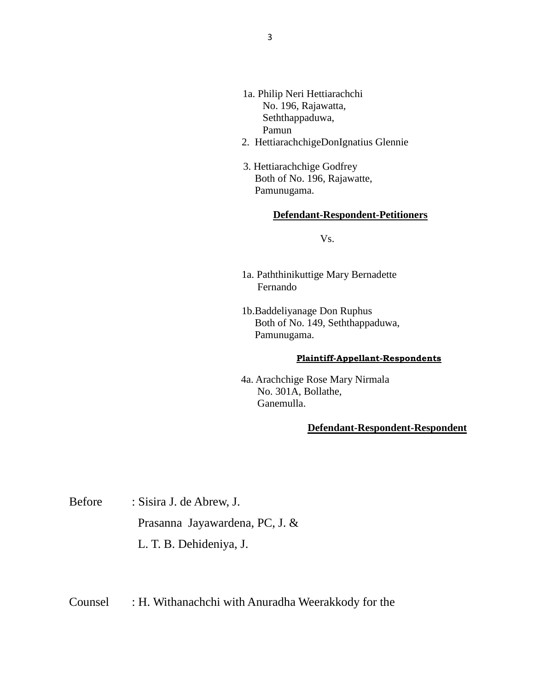- 1a. Philip Neri Hettiarachchi No. 196, Rajawatta, Seththappaduwa, Pamun
- 2. HettiarachchigeDonIgnatius Glennie
- 3. Hettiarachchige Godfrey Both of No. 196, Rajawatte, Pamunugama.

#### **Defendant-Respondent-Petitioners**

Vs.

- 1a. Paththinikuttige Mary Bernadette Fernando
- 1b.Baddeliyanage Don Ruphus Both of No. 149, Seththappaduwa, Pamunugama.

#### **Plaintiff-Appellant-Respondents**

 4a. Arachchige Rose Mary Nirmala No. 301A, Bollathe, Ganemulla.

#### **Defendant-Respondent-Respondent**

Before : Sisira J. de Abrew, J. Prasanna Jayawardena, PC, J. & L. T. B. Dehideniya, J.

Counsel : H. Withanachchi with Anuradha Weerakkody for the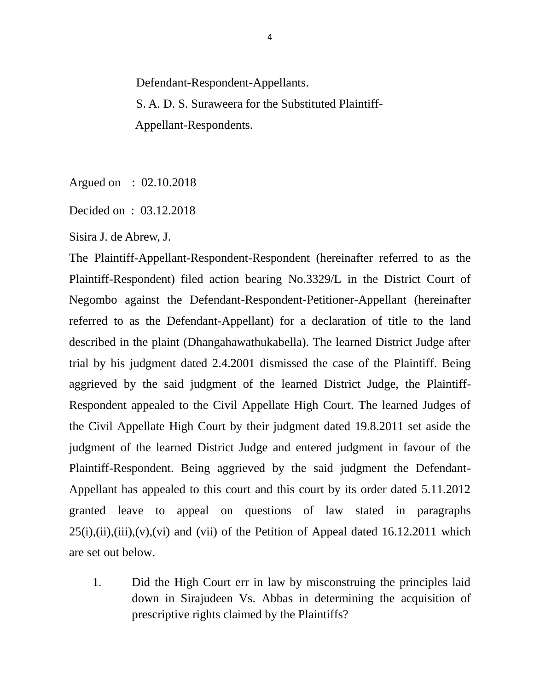Defendant-Respondent-Appellants. S. A. D. S. Suraweera for the Substituted Plaintiff- Appellant-Respondents.

Argued on : 02.10.2018

Decided on : 03.12.2018

Sisira J. de Abrew, J.

The Plaintiff-Appellant-Respondent-Respondent (hereinafter referred to as the Plaintiff-Respondent) filed action bearing No.3329/L in the District Court of Negombo against the Defendant-Respondent-Petitioner-Appellant (hereinafter referred to as the Defendant-Appellant) for a declaration of title to the land described in the plaint (Dhangahawathukabella). The learned District Judge after trial by his judgment dated 2.4.2001 dismissed the case of the Plaintiff. Being aggrieved by the said judgment of the learned District Judge, the Plaintiff-Respondent appealed to the Civil Appellate High Court. The learned Judges of the Civil Appellate High Court by their judgment dated 19.8.2011 set aside the judgment of the learned District Judge and entered judgment in favour of the Plaintiff-Respondent. Being aggrieved by the said judgment the Defendant-Appellant has appealed to this court and this court by its order dated 5.11.2012 granted leave to appeal on questions of law stated in paragraphs  $25(i), (ii), (iii), (v), (vi)$  and (vii) of the Petition of Appeal dated 16.12.2011 which are set out below.

1. Did the High Court err in law by misconstruing the principles laid down in Sirajudeen Vs. Abbas in determining the acquisition of prescriptive rights claimed by the Plaintiffs?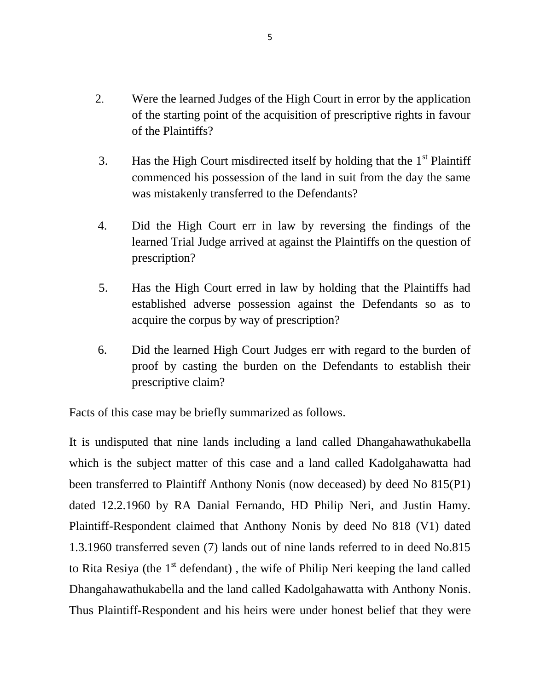- 2. Were the learned Judges of the High Court in error by the application of the starting point of the acquisition of prescriptive rights in favour of the Plaintiffs?
- 3. Has the High Court misdirected itself by holding that the  $1<sup>st</sup>$  Plaintiff commenced his possession of the land in suit from the day the same was mistakenly transferred to the Defendants?
- 4. Did the High Court err in law by reversing the findings of the learned Trial Judge arrived at against the Plaintiffs on the question of prescription?
- 5. Has the High Court erred in law by holding that the Plaintiffs had established adverse possession against the Defendants so as to acquire the corpus by way of prescription?
- 6. Did the learned High Court Judges err with regard to the burden of proof by casting the burden on the Defendants to establish their prescriptive claim?

Facts of this case may be briefly summarized as follows.

It is undisputed that nine lands including a land called Dhangahawathukabella which is the subject matter of this case and a land called Kadolgahawatta had been transferred to Plaintiff Anthony Nonis (now deceased) by deed No 815(P1) dated 12.2.1960 by RA Danial Fernando, HD Philip Neri, and Justin Hamy. Plaintiff-Respondent claimed that Anthony Nonis by deed No 818 (V1) dated 1.3.1960 transferred seven (7) lands out of nine lands referred to in deed No.815 to Rita Resiya (the 1<sup>st</sup> defendant), the wife of Philip Neri keeping the land called Dhangahawathukabella and the land called Kadolgahawatta with Anthony Nonis. Thus Plaintiff-Respondent and his heirs were under honest belief that they were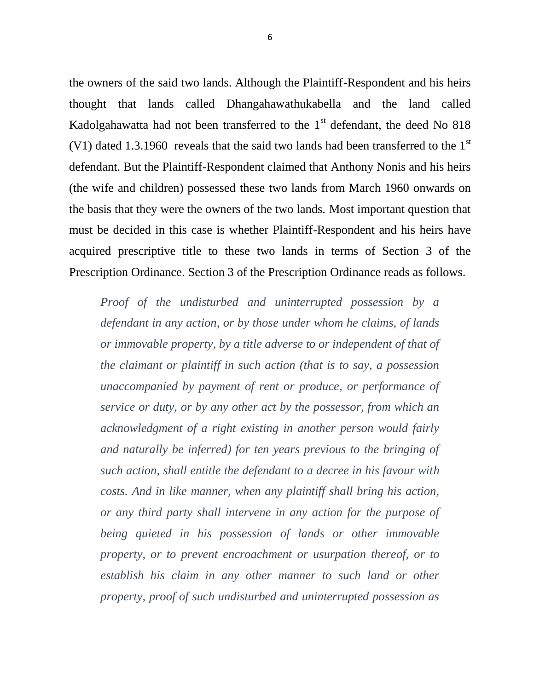the owners of the said two lands. Although the Plaintiff-Respondent and his heirs thought that lands called Dhangahawathukabella and the land called Kadolgahawatta had not been transferred to the  $1<sup>st</sup>$  defendant, the deed No 818 (V1) dated 1.3.1960 reveals that the said two lands had been transferred to the  $1<sup>st</sup>$ defendant. But the Plaintiff-Respondent claimed that Anthony Nonis and his heirs (the wife and children) possessed these two lands from March 1960 onwards on the basis that they were the owners of the two lands. Most important question that must be decided in this case is whether Plaintiff-Respondent and his heirs have acquired prescriptive title to these two lands in terms of Section 3 of the Prescription Ordinance. Section 3 of the Prescription Ordinance reads as follows.

*Proof of the undisturbed and uninterrupted possession by a defendant in any action, or by those under whom he claims, of lands or immovable property, by a title adverse to or independent of that of the claimant or plaintiff in such action (that is to say, a possession unaccompanied by payment of rent or produce, or performance of service or duty, or by any other act by the possessor, from which an acknowledgment of a right existing in another person would fairly and naturally be inferred) for ten years previous to the bringing of such action, shall entitle the defendant to a decree in his favour with costs. And in like manner, when any plaintiff shall bring his action, or any third party shall intervene in any action for the purpose of being quieted in his possession of lands or other immovable property, or to prevent encroachment or usurpation thereof, or to establish his claim in any other manner to such land or other property, proof of such undisturbed and uninterrupted possession as*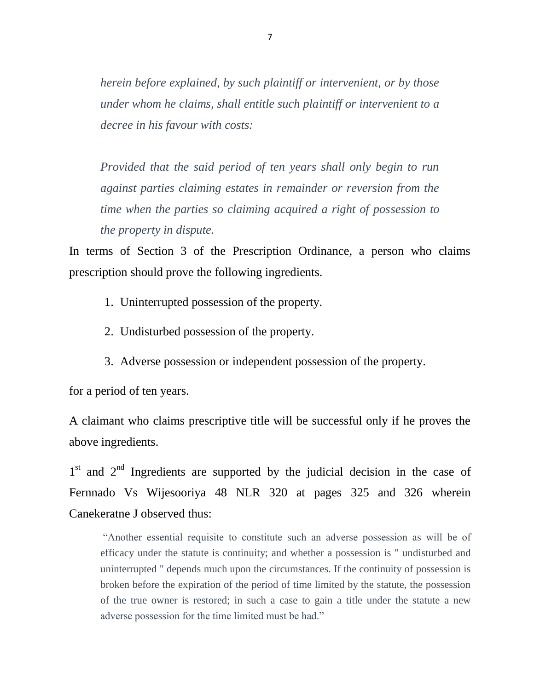*herein before explained, by such plaintiff or intervenient, or by those under whom he claims, shall entitle such plaintiff or intervenient to a decree in his favour with costs:*

*Provided that the said period of ten years shall only begin to run against parties claiming estates in remainder or reversion from the time when the parties so claiming acquired a right of possession to the property in dispute.*

In terms of Section 3 of the Prescription Ordinance, a person who claims prescription should prove the following ingredients.

- 1. Uninterrupted possession of the property.
- 2. Undisturbed possession of the property.
- 3. Adverse possession or independent possession of the property.

for a period of ten years.

A claimant who claims prescriptive title will be successful only if he proves the above ingredients.

1<sup>st</sup> and 2<sup>nd</sup> Ingredients are supported by the judicial decision in the case of Fernnado Vs Wijesooriya 48 NLR 320 at pages 325 and 326 wherein Canekeratne J observed thus:

"Another essential requisite to constitute such an adverse possession as will be of efficacy under the statute is continuity; and whether a possession is " undisturbed and uninterrupted " depends much upon the circumstances. If the continuity of possession is broken before the expiration of the period of time limited by the statute, the possession of the true owner is restored; in such a case to gain a title under the statute a new adverse possession for the time limited must be had."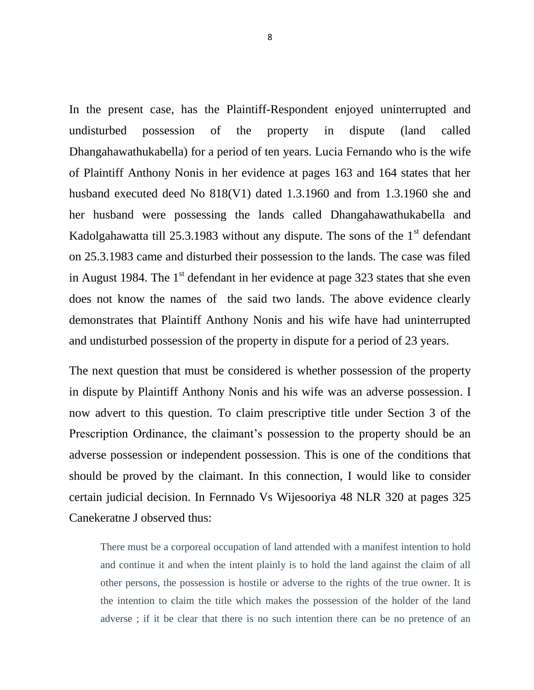In the present case, has the Plaintiff-Respondent enjoyed uninterrupted and undisturbed possession of the property in dispute (land called Dhangahawathukabella) for a period of ten years. Lucia Fernando who is the wife of Plaintiff Anthony Nonis in her evidence at pages 163 and 164 states that her husband executed deed No 818(V1) dated 1.3.1960 and from 1.3.1960 she and her husband were possessing the lands called Dhangahawathukabella and Kadolgahawatta till 25.3.1983 without any dispute. The sons of the  $1<sup>st</sup>$  defendant on 25.3.1983 came and disturbed their possession to the lands. The case was filed in August 1984. The  $1<sup>st</sup>$  defendant in her evidence at page 323 states that she even does not know the names of the said two lands. The above evidence clearly demonstrates that Plaintiff Anthony Nonis and his wife have had uninterrupted and undisturbed possession of the property in dispute for a period of 23 years.

The next question that must be considered is whether possession of the property in dispute by Plaintiff Anthony Nonis and his wife was an adverse possession. I now advert to this question. To claim prescriptive title under Section 3 of the Prescription Ordinance, the claimant's possession to the property should be an adverse possession or independent possession. This is one of the conditions that should be proved by the claimant. In this connection, I would like to consider certain judicial decision. In Fernnado Vs Wijesooriya 48 NLR 320 at pages 325 Canekeratne J observed thus:

There must be a corporeal occupation of land attended with a manifest intention to hold and continue it and when the intent plainly is to hold the land against the claim of all other persons, the possession is hostile or adverse to the rights of the true owner. It is the intention to claim the title which makes the possession of the holder of the land adverse ; if it be clear that there is no such intention there can be no pretence of an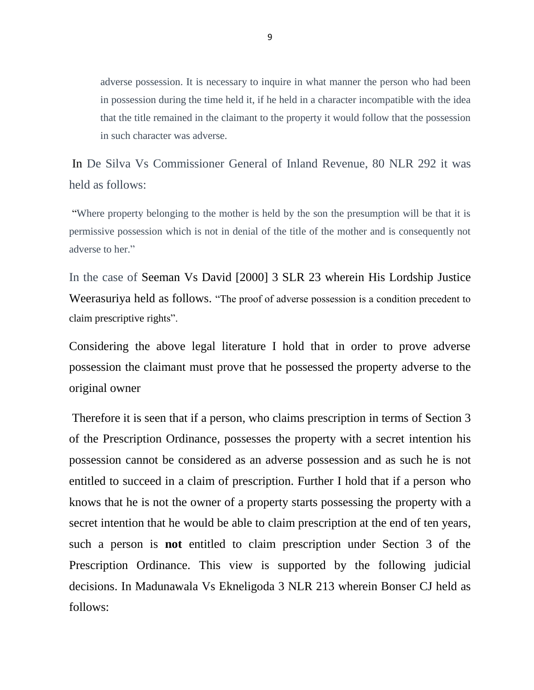adverse possession. It is necessary to inquire in what manner the person who had been in possession during the time held it, if he held in a character incompatible with the idea that the title remained in the claimant to the property it would follow that the possession in such character was adverse.

In De Silva Vs Commissioner General of Inland Revenue, 80 NLR 292 it was held as follows:

"Where property belonging to the mother is held by the son the presumption will be that it is permissive possession which is not in denial of the title of the mother and is consequently not adverse to her."

In the case of Seeman Vs David [2000] 3 SLR 23 wherein His Lordship Justice Weerasuriya held as follows. "The proof of adverse possession is a condition precedent to claim prescriptive rights".

Considering the above legal literature I hold that in order to prove adverse possession the claimant must prove that he possessed the property adverse to the original owner

Therefore it is seen that if a person, who claims prescription in terms of Section 3 of the Prescription Ordinance, possesses the property with a secret intention his possession cannot be considered as an adverse possession and as such he is not entitled to succeed in a claim of prescription. Further I hold that if a person who knows that he is not the owner of a property starts possessing the property with a secret intention that he would be able to claim prescription at the end of ten years, such a person is **not** entitled to claim prescription under Section 3 of the Prescription Ordinance. This view is supported by the following judicial decisions. In Madunawala Vs Ekneligoda 3 NLR 213 wherein Bonser CJ held as follows: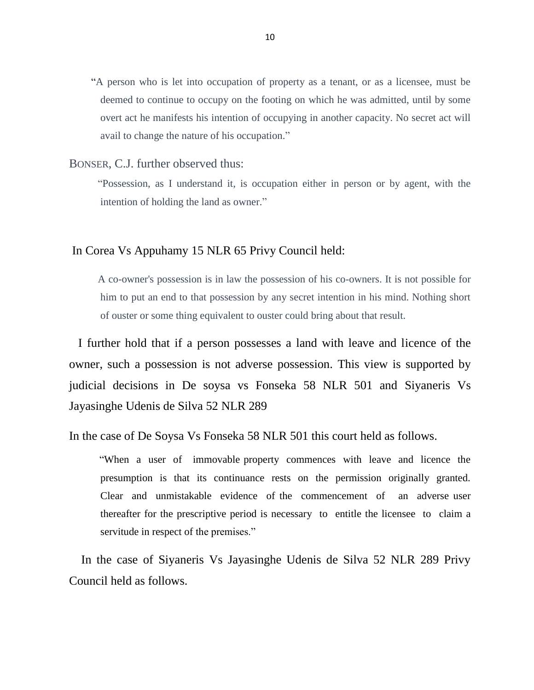"A person who is let into occupation of property as a tenant, or as a licensee, must be deemed to continue to occupy on the footing on which he was admitted, until by some overt act he manifests his intention of occupying in another capacity. No secret act will avail to change the nature of his occupation."

### BONSER, C.J. further observed thus:

 "Possession, as I understand it, is occupation either in person or by agent, with the intention of holding the land as owner."

## In Corea Vs Appuhamy 15 NLR 65 Privy Council held:

 A co-owner's possession is in law the possession of his co-owners. It is not possible for him to put an end to that possession by any secret intention in his mind. Nothing short of ouster or some thing equivalent to ouster could bring about that result.

 I further hold that if a person possesses a land with leave and licence of the owner, such a possession is not adverse possession. This view is supported by judicial decisions in De soysa vs Fonseka 58 NLR 501 and Siyaneris Vs Jayasinghe Udenis de Silva 52 NLR 289

In the case of De Soysa Vs Fonseka 58 NLR 501 this court held as follows.

 "When a user of immovable property commences with leave and licence the presumption is that its continuance rests on the permission originally granted. Clear and unmistakable evidence of the commencement of an adverse user thereafter for the prescriptive period is necessary to entitle the licensee to claim a servitude in respect of the premises."

 In the case of Siyaneris Vs Jayasinghe Udenis de Silva 52 NLR 289 Privy Council held as follows.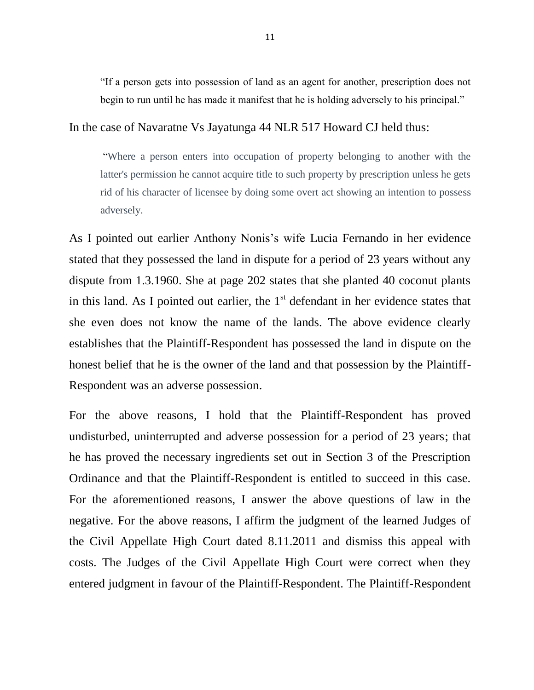"If a person gets into possession of land as an agent for another, prescription does not begin to run until he has made it manifest that he is holding adversely to his principal."

## In the case of Navaratne Vs Jayatunga 44 NLR 517 Howard CJ held thus:

"Where a person enters into occupation of property belonging to another with the latter's permission he cannot acquire title to such property by prescription unless he gets rid of his character of licensee by doing some overt act showing an intention to possess adversely.

As I pointed out earlier Anthony Nonis's wife Lucia Fernando in her evidence stated that they possessed the land in dispute for a period of 23 years without any dispute from 1.3.1960. She at page 202 states that she planted 40 coconut plants in this land. As I pointed out earlier, the  $1<sup>st</sup>$  defendant in her evidence states that she even does not know the name of the lands. The above evidence clearly establishes that the Plaintiff-Respondent has possessed the land in dispute on the honest belief that he is the owner of the land and that possession by the Plaintiff-Respondent was an adverse possession.

For the above reasons, I hold that the Plaintiff-Respondent has proved undisturbed, uninterrupted and adverse possession for a period of 23 years; that he has proved the necessary ingredients set out in Section 3 of the Prescription Ordinance and that the Plaintiff-Respondent is entitled to succeed in this case. For the aforementioned reasons, I answer the above questions of law in the negative. For the above reasons, I affirm the judgment of the learned Judges of the Civil Appellate High Court dated 8.11.2011 and dismiss this appeal with costs. The Judges of the Civil Appellate High Court were correct when they entered judgment in favour of the Plaintiff-Respondent. The Plaintiff-Respondent